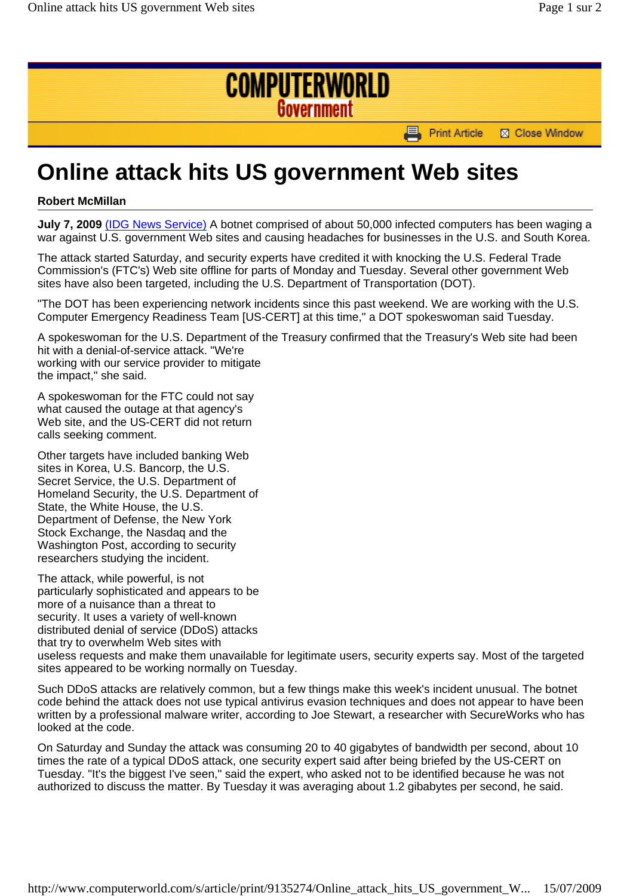

## **Online attack hits US government Web sites**

## **Robert McMillan**

**July 7, 2009** (IDG News Service) A botnet comprised of about 50,000 infected computers has been waging a war against U.S. government Web sites and causing headaches for businesses in the U.S. and South Korea.

The attack started Saturday, and security experts have credited it with knocking the U.S. Federal Trade Commission's (FTC's) Web site offline for parts of Monday and Tuesday. Several other government Web sites have also been targeted, including the U.S. Department of Transportation (DOT).

"The DOT has been experiencing network incidents since this past weekend. We are working with the U.S. Computer Emergency Readiness Team [US-CERT] at this time," a DOT spokeswoman said Tuesday.

A spokeswoman for the U.S. Department of the Treasury confirmed that the Treasury's Web site had been hit with a denial-of-service attack. "We're working with our service provider to mitigate the impact," she said.

A spokeswoman for the FTC could not say what caused the outage at that agency's Web site, and the US-CERT did not return calls seeking comment.

Other targets have included banking Web sites in Korea, U.S. Bancorp, the U.S. Secret Service, the U.S. Department of Homeland Security, the U.S. Department of State, the White House, the U.S. Department of Defense, the New York Stock Exchange, the Nasdaq and the Washington Post, according to security researchers studying the incident.

The attack, while powerful, is not particularly sophisticated and appears to be more of a nuisance than a threat to security. It uses a variety of well-known distributed denial of service (DDoS) attacks that try to overwhelm Web sites with useless requests and make them unavailable for legitimate users, security experts say. Most of the targeted sites appeared to be working normally on Tuesday.

Such DDoS attacks are relatively common, but a few things make this week's incident unusual. The botnet code behind the attack does not use typical antivirus evasion techniques and does not appear to have been written by a professional malware writer, according to Joe Stewart, a researcher with SecureWorks who has looked at the code.

On Saturday and Sunday the attack was consuming 20 to 40 gigabytes of bandwidth per second, about 10 times the rate of a typical DDoS attack, one security expert said after being briefed by the US-CERT on Tuesday. "It's the biggest I've seen," said the expert, who asked not to be identified because he was not authorized to discuss the matter. By Tuesday it was averaging about 1.2 gibabytes per second, he said.